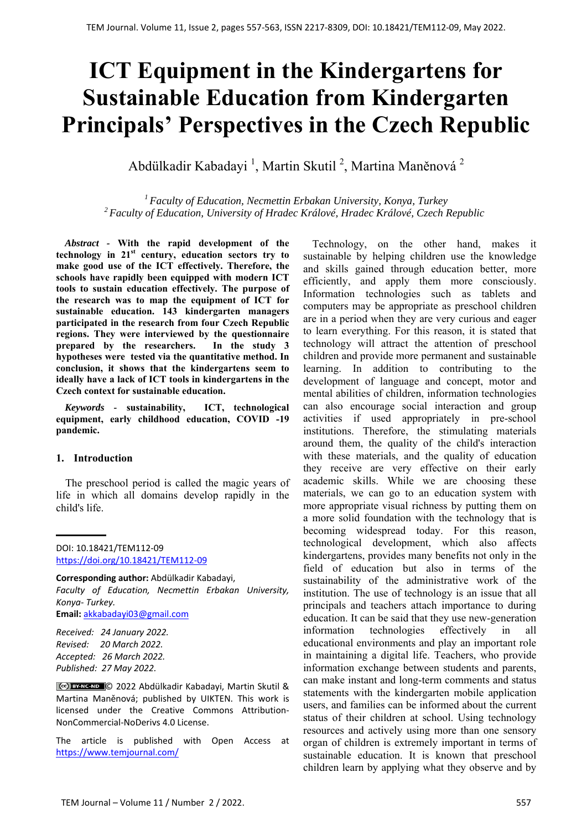# **ICT Equipment in the Kindergartens for Sustainable Education from Kindergarten Principals' Perspectives in the Czech Republic**

Abdülkadir Kabadayi <sup>1</sup>, Martin Skutil <sup>2</sup>, Martina Maněnová <sup>2</sup>

*1 Faculty of Education, Necmettin Erbakan University, Konya, Turkey 2 Faculty of Education, University of Hradec Králové, Hradec Králové, Czech Republic* 

*Abstract -* **With the rapid development of the technology in 21st century, education sectors try to make good use of the ICT effectively. Therefore, the schools have rapidly been equipped with modern ICT tools to sustain education effectively. The purpose of the research was to map the equipment of ICT for sustainable education. 143 kindergarten managers participated in the research from four Czech Republic regions. They were interviewed by the questionnaire prepared by the researchers. In the study 3 hypotheses were tested via the quantitative method. In conclusion, it shows that the kindergartens seem to ideally have a lack of ICT tools in kindergartens in the Czech context for sustainable education.** 

*Keywords -* **sustainability, ICT, technological equipment, early childhood education, COVID -19 pandemic.** 

#### **1. Introduction**

The preschool period is called the magic years of life in which all domains develop rapidly in the child's life.

DOI: 10.18421/TEM112-09 [https://doi.org/10.18421/TEM112](https://doi.org/10.18421/TEM112-09)-09

**Corresponding author:** Abdülkadir Kabadayi, *Faculty of Education, Necmettin Erbakan University, Konya‐ Turkey.*  **Email:** akkabadayi03@gmail.com

*Received: 24 January 2022. Revised: 20 March 2022. Accepted: 26 March 2022. Published: 27 May 2022.* 

© 2022 Abdülkadir Kabadayi, Martin Skutil & Martina Maněnová; published by UIKTEN. This work is licensed under the Creative Commons Attribution‐ NonCommercial‐NoDerivs 4.0 License.

The article is published with Open Access at https://www.temjournal.com/

Technology, on the other hand, makes it sustainable by helping children use the knowledge and skills gained through education better, more efficiently, and apply them more consciously. Information technologies such as tablets and computers may be appropriate as preschool children are in a period when they are very curious and eager to learn everything. For this reason, it is stated that technology will attract the attention of preschool children and provide more permanent and sustainable learning. In addition to contributing to the development of language and concept, motor and mental abilities of children, information technologies can also encourage social interaction and group activities if used appropriately in pre-school institutions. Therefore, the stimulating materials around them, the quality of the child's interaction with these materials, and the quality of education they receive are very effective on their early academic skills. While we are choosing these materials, we can go to an education system with more appropriate visual richness by putting them on a more solid foundation with the technology that is becoming widespread today. For this reason, technological development, which also affects kindergartens, provides many benefits not only in the field of education but also in terms of the sustainability of the administrative work of the institution. The use of technology is an issue that all principals and teachers attach importance to during education. It can be said that they use new-generation information technologies effectively in all educational environments and play an important role in maintaining a digital life. Teachers, who provide information exchange between students and parents, can make instant and long-term comments and status statements with the kindergarten mobile application users, and families can be informed about the current status of their children at school. Using technology resources and actively using more than one sensory organ of children is extremely important in terms of sustainable education. It is known that preschool children learn by applying what they observe and by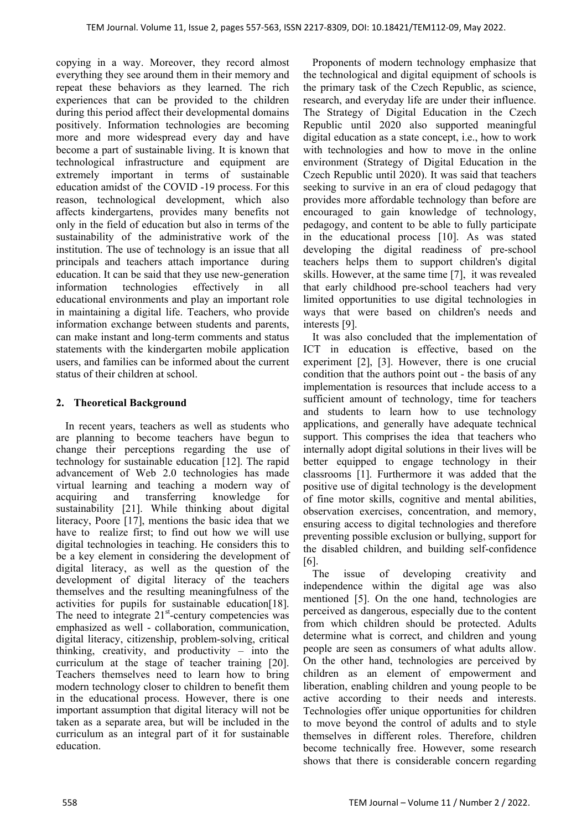copying in a way. Moreover, they record almost everything they see around them in their memory and repeat these behaviors as they learned. The rich experiences that can be provided to the children during this period affect their developmental domains positively. Information technologies are becoming more and more widespread every day and have become a part of sustainable living. It is known that technological infrastructure and equipment are extremely important in terms of sustainable education amidst of the COVID -19 process. For this reason, technological development, which also affects kindergartens, provides many benefits not only in the field of education but also in terms of the sustainability of the administrative work of the institution. The use of technology is an issue that all principals and teachers attach importance during education. It can be said that they use new-generation information technologies effectively in all educational environments and play an important role in maintaining a digital life. Teachers, who provide information exchange between students and parents, can make instant and long-term comments and status statements with the kindergarten mobile application users, and families can be informed about the current status of their children at school.

## **2. Theoretical Background**

In recent years, teachers as well as students who are planning to become teachers have begun to change their perceptions regarding the use of technology for sustainable education [12]. The rapid advancement of Web 2.0 technologies has made virtual learning and teaching a modern way of acquiring and transferring knowledge for sustainability [21]. While thinking about digital literacy, Poore [17], mentions the basic idea that we have to realize first; to find out how we will use digital technologies in teaching. He considers this to be a key element in considering the development of digital literacy, as well as the question of the development of digital literacy of the teachers themselves and the resulting meaningfulness of the activities for pupils for sustainable education[18]. The need to integrate  $21<sup>st</sup>$ -century competencies was emphasized as well - collaboration, communication, digital literacy, citizenship, problem-solving, critical thinking, creativity, and productivity – into the curriculum at the stage of teacher training [20]. Teachers themselves need to learn how to bring modern technology closer to children to benefit them in the educational process. However, there is one important assumption that digital literacy will not be taken as a separate area, but will be included in the curriculum as an integral part of it for sustainable education.

Proponents of modern technology emphasize that the technological and digital equipment of schools is the primary task of the Czech Republic, as science, research, and everyday life are under their influence. The Strategy of Digital Education in the Czech Republic until 2020 also supported meaningful digital education as a state concept, i.e., how to work with technologies and how to move in the online environment (Strategy of Digital Education in the Czech Republic until 2020). It was said that teachers seeking to survive in an era of cloud pedagogy that provides more affordable technology than before are encouraged to gain knowledge of technology, pedagogy, and content to be able to fully participate in the educational process [10]. As was stated developing the digital readiness of pre-school teachers helps them to support children's digital skills. However, at the same time [7], it was revealed that early childhood pre-school teachers had very limited opportunities to use digital technologies in ways that were based on children's needs and interests [9].

It was also concluded that the implementation of ICT in education is effective, based on the experiment [2], [3]. However, there is one crucial condition that the authors point out - the basis of any implementation is resources that include access to a sufficient amount of technology, time for teachers and students to learn how to use technology applications, and generally have adequate technical support. This comprises the idea that teachers who internally adopt digital solutions in their lives will be better equipped to engage technology in their classrooms [1]. Furthermore it was added that the positive use of digital technology is the development of fine motor skills, cognitive and mental abilities, observation exercises, concentration, and memory, ensuring access to digital technologies and therefore preventing possible exclusion or bullying, support for the disabled children, and building self-confidence [6].

The issue of developing creativity and independence within the digital age was also mentioned [5]. On the one hand, technologies are perceived as dangerous, especially due to the content from which children should be protected. Adults determine what is correct, and children and young people are seen as consumers of what adults allow. On the other hand, technologies are perceived by children as an element of empowerment and liberation, enabling children and young people to be active according to their needs and interests. Technologies offer unique opportunities for children to move beyond the control of adults and to style themselves in different roles. Therefore, children become technically free. However, some research shows that there is considerable concern regarding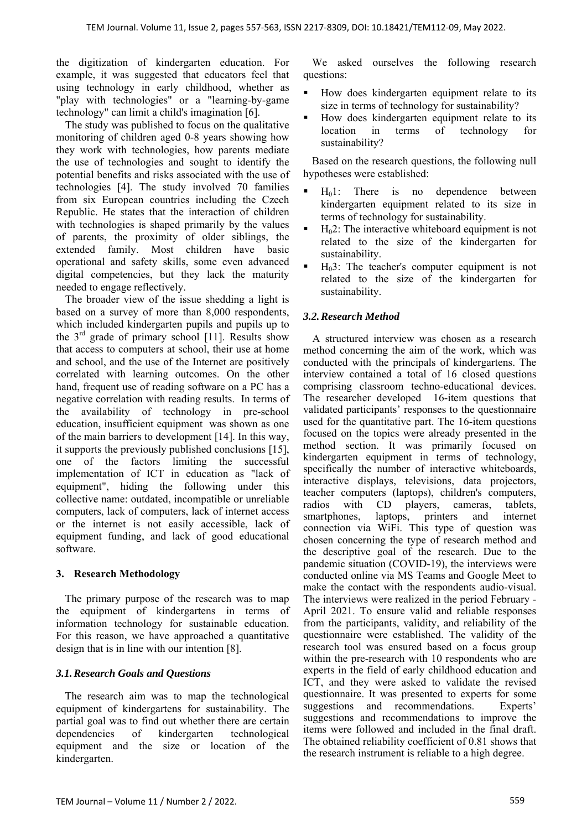the digitization of kindergarten education. For example, it was suggested that educators feel that using technology in early childhood, whether as "play with technologies" or a "learning-by-game technology" can limit a child's imagination [6].

The study was published to focus on the qualitative monitoring of children aged 0-8 years showing how they work with technologies, how parents mediate the use of technologies and sought to identify the potential benefits and risks associated with the use of technologies [4]. The study involved 70 families from six European countries including the Czech Republic. He states that the interaction of children with technologies is shaped primarily by the values of parents, the proximity of older siblings, the extended family. Most children have basic operational and safety skills, some even advanced digital competencies, but they lack the maturity needed to engage reflectively.

The broader view of the issue shedding a light is based on a survey of more than 8,000 respondents, which included kindergarten pupils and pupils up to the  $3<sup>rd</sup>$  grade of primary school [11]. Results show that access to computers at school, their use at home and school, and the use of the Internet are positively correlated with learning outcomes. On the other hand, frequent use of reading software on a PC has a negative correlation with reading results. In terms of the availability of technology in pre-school education, insufficient equipment was shown as one of the main barriers to development [14]. In this way, it supports the previously published conclusions [15], one of the factors limiting the successful implementation of ICT in education as "lack of equipment", hiding the following under this collective name: outdated, incompatible or unreliable computers, lack of computers, lack of internet access or the internet is not easily accessible, lack of equipment funding, and lack of good educational software.

## **3. Research Methodology**

The primary purpose of the research was to map the equipment of kindergartens in terms of information technology for sustainable education. For this reason, we have approached a quantitative design that is in line with our intention [8].

## *3.1.Research Goals and Questions*

The research aim was to map the technological equipment of kindergartens for sustainability. The partial goal was to find out whether there are certain dependencies of kindergarten technological equipment and the size or location of the kindergarten.

We asked ourselves the following research questions:

- How does kindergarten equipment relate to its size in terms of technology for sustainability?
- How does kindergarten equipment relate to its location in terms of technology for sustainability?

Based on the research questions, the following null hypotheses were established:

- $H<sub>0</sub>1$ : There is no dependence between kindergarten equipment related to its size in terms of technology for sustainability.
- $H<sub>0</sub>2$ : The interactive whiteboard equipment is not related to the size of the kindergarten for sustainability.
- H03: The teacher's computer equipment is not related to the size of the kindergarten for sustainability.

## *3.2.Research Method*

A structured interview was chosen as a research method concerning the aim of the work, which was conducted with the principals of kindergartens. The interview contained a total of 16 closed questions comprising classroom techno-educational devices. The researcher developed 16-item questions that validated participants' responses to the questionnaire used for the quantitative part. The 16-item questions focused on the topics were already presented in the method section. It was primarily focused on kindergarten equipment in terms of technology, specifically the number of interactive whiteboards, interactive displays, televisions, data projectors, teacher computers (laptops), children's computers, radios with CD players, cameras, tablets, smartphones, laptops, printers and internet connection via WiFi. This type of question was chosen concerning the type of research method and the descriptive goal of the research. Due to the pandemic situation (COVID-19), the interviews were conducted online via MS Teams and Google Meet to make the contact with the respondents audio-visual. The interviews were realized in the period February - April 2021. To ensure valid and reliable responses from the participants, validity, and reliability of the questionnaire were established. The validity of the research tool was ensured based on a focus group within the pre-research with 10 respondents who are experts in the field of early childhood education and ICT, and they were asked to validate the revised questionnaire. It was presented to experts for some suggestions and recommendations. Experts' suggestions and recommendations to improve the items were followed and included in the final draft. The obtained reliability coefficient of 0.81 shows that the research instrument is reliable to a high degree.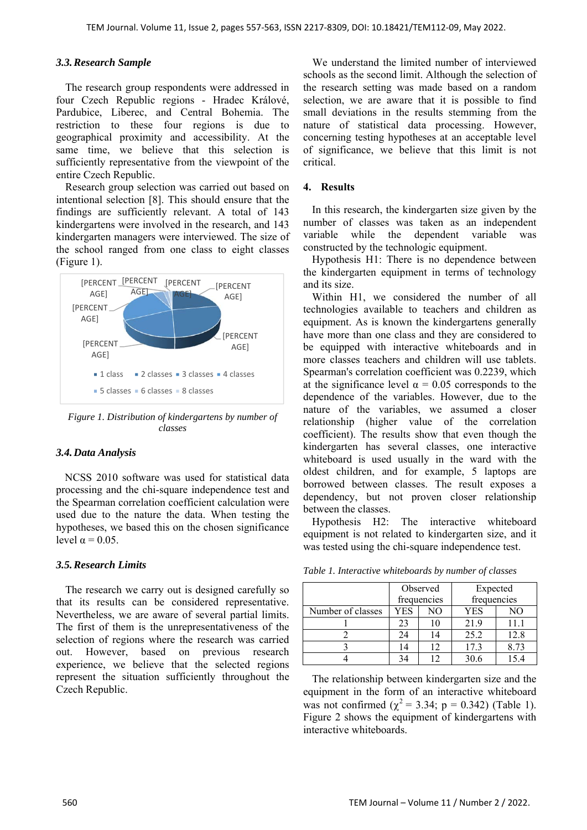#### *3.3.Research Sample*

The research group respondents were addressed in four Czech Republic regions - Hradec Králové, Pardubice, Liberec, and Central Bohemia. The restriction to these four regions is due to geographical proximity and accessibility. At the same time, we believe that this selection is sufficiently representative from the viewpoint of the entire Czech Republic.

Research group selection was carried out based on intentional selection [8]. This should ensure that the findings are sufficiently relevant. A total of 143 kindergartens were involved in the research, and 143 kindergarten managers were interviewed. The size of the school ranged from one class to eight classes (Figure 1).



*Figure 1. Distribution of kindergartens by number of classes*

#### *3.4.Data Analysis*

NCSS 2010 software was used for statistical data processing and the chi-square independence test and the Spearman correlation coefficient calculation were used due to the nature the data. When testing the hypotheses, we based this on the chosen significance level  $\alpha = 0.05$ .

#### *3.5.Research Limits*

The research we carry out is designed carefully so that its results can be considered representative. Nevertheless, we are aware of several partial limits. The first of them is the unrepresentativeness of the selection of regions where the research was carried out. However, based on previous research experience, we believe that the selected regions represent the situation sufficiently throughout the Czech Republic.

We understand the limited number of interviewed schools as the second limit. Although the selection of the research setting was made based on a random selection, we are aware that it is possible to find small deviations in the results stemming from the nature of statistical data processing. However, concerning testing hypotheses at an acceptable level of significance, we believe that this limit is not critical.

#### **4. Results**

In this research, the kindergarten size given by the number of classes was taken as an independent variable while the dependent variable was constructed by the technologic equipment.

Hypothesis H1: There is no dependence between the kindergarten equipment in terms of technology and its size.

Within H1, we considered the number of all technologies available to teachers and children as equipment. As is known the kindergartens generally have more than one class and they are considered to be equipped with interactive whiteboards and in more classes teachers and children will use tablets. Spearman's correlation coefficient was 0.2239, which at the significance level  $\alpha = 0.05$  corresponds to the dependence of the variables. However, due to the nature of the variables, we assumed a closer relationship (higher value of the correlation coefficient). The results show that even though the kindergarten has several classes, one interactive whiteboard is used usually in the ward with the oldest children, and for example, 5 laptops are borrowed between classes. The result exposes a dependency, but not proven closer relationship between the classes.

Hypothesis H2: The interactive whiteboard equipment is not related to kindergarten size, and it was tested using the chi-square independence test.

|                   | Observed<br>frequencies |    | Expected<br>frequencies |      |
|-------------------|-------------------------|----|-------------------------|------|
| Number of classes | YES                     | NО | YES                     | NO   |
|                   | 23                      | 10 | 21.9                    | 11.1 |
|                   | 24                      | 14 | 25.2                    | 12.8 |
|                   | 14                      | 12 | 17.3                    | 8.73 |
|                   |                         |    |                         |      |

*Table 1. Interactive whiteboards by number of classes* 

The relationship between kindergarten size and the equipment in the form of an interactive whiteboard was not confirmed ( $\chi^2$  = 3.34; p = 0.342) (Table 1). Figure 2 shows the equipment of kindergartens with interactive whiteboards.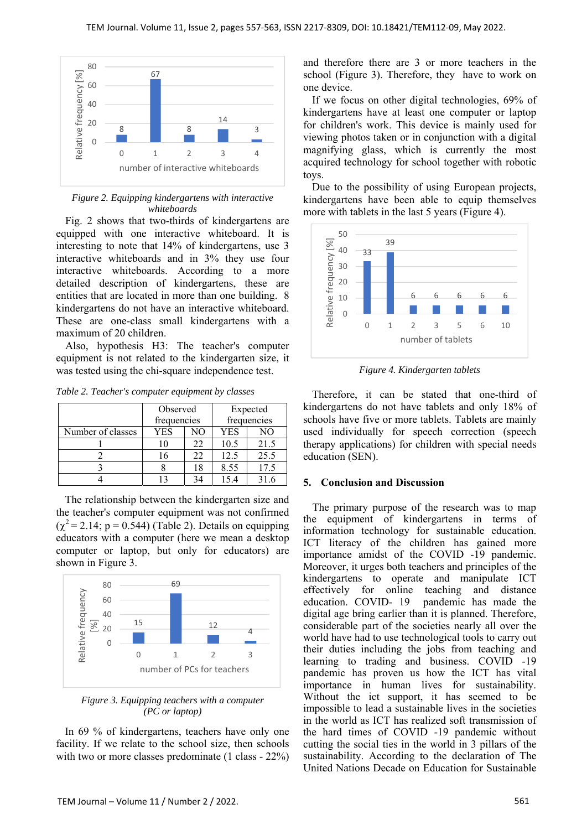

*Figure 2. Equipping kindergartens with interactive whiteboards* 

Fig. 2 shows that two-thirds of kindergartens are equipped with one interactive whiteboard. It is interesting to note that 14% of kindergartens, use 3 interactive whiteboards and in 3% they use four interactive whiteboards. According to a more detailed description of kindergartens, these are entities that are located in more than one building. 8 kindergartens do not have an interactive whiteboard. These are one-class small kindergartens with a maximum of 20 children.

Also, hypothesis H3: The teacher's computer equipment is not related to the kindergarten size, it was tested using the chi-square independence test.

*Table 2. Teacher's computer equipment by classes* 

|                   | Observed<br>frequencies |    | Expected<br>frequencies |      |
|-------------------|-------------------------|----|-------------------------|------|
| Number of classes | YES                     | NΟ | YES                     | NO   |
|                   |                         | 22 | 10.5                    | 21.5 |
|                   |                         | 22 | 12.5                    | 25.5 |
|                   |                         | 18 | 8.55                    | 17.5 |
|                   |                         |    |                         | 316  |

The relationship between the kindergarten size and the teacher's computer equipment was not confirmed  $(\gamma^2 = 2.14; p = 0.544)$  (Table 2). Details on equipping educators with a computer (here we mean a desktop computer or laptop, but only for educators) are shown in Figure 3.



*Figure 3. Equipping teachers with a computer (PC or laptop)* 

In 69 % of kindergartens, teachers have only one facility. If we relate to the school size, then schools with two or more classes predominate (1 class - 22%) and therefore there are 3 or more teachers in the school (Figure 3). Therefore, they have to work on one device.

If we focus on other digital technologies, 69% of kindergartens have at least one computer or laptop for children's work. This device is mainly used for viewing photos taken or in conjunction with a digital magnifying glass, which is currently the most acquired technology for school together with robotic toys.

Due to the possibility of using European projects, kindergartens have been able to equip themselves more with tablets in the last 5 years (Figure 4).



*Figure 4. Kindergarten tablets* 

Therefore, it can be stated that one-third of kindergartens do not have tablets and only 18% of schools have five or more tablets. Tablets are mainly used individually for speech correction (speech therapy applications) for children with special needs education (SEN).

### **5. Conclusion and Discussion**

The primary purpose of the research was to map the equipment of kindergartens in terms of information technology for sustainable education. ICT literacy of the children has gained more importance amidst of the COVID -19 pandemic. Moreover, it urges both teachers and principles of the kindergartens to operate and manipulate ICT effectively for online teaching and distance<br>education. COVID-19 pandemic has made the pandemic has made the digital age bring earlier than it is planned. Therefore, considerable part of the societies nearly all over the world have had to use technological tools to carry out their duties including the jobs from teaching and learning to trading and business. COVID -19 pandemic has proven us how the ICT has vital importance in human lives for sustainability. Without the ict support, it has seemed to be impossible to lead a sustainable lives in the societies in the world as ICT has realized soft transmission of the hard times of COVID -19 pandemic without cutting the social ties in the world in 3 pillars of the sustainability. According to the declaration of The United Nations Decade on Education for Sustainable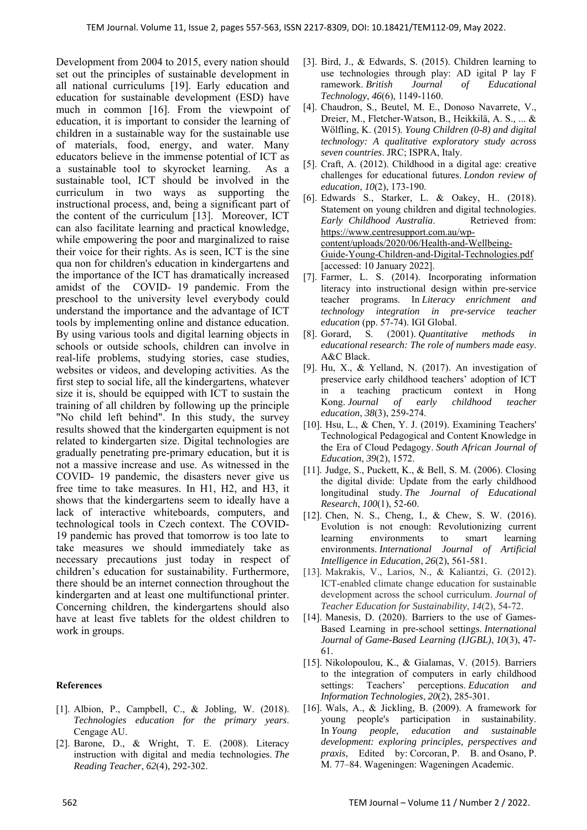Development from 2004 to 2015, every nation should set out the principles of sustainable development in all national curriculums [19]. Early education and education for sustainable development (ESD) have much in common [16]. From the viewpoint of education, it is important to consider the learning of children in a sustainable way for the sustainable use of materials, food, energy, and water. Many educators believe in the immense potential of ICT as a sustainable tool to skyrocket learning. As a sustainable tool, ICT should be involved in the curriculum in two ways as supporting the instructional process, and, being a significant part of the content of the curriculum [13]. Moreover, ICT can also facilitate learning and practical knowledge, while empowering the poor and marginalized to raise their voice for their rights. As is seen, ICT is the sine qua non for children's education in kindergartens and the importance of the ICT has dramatically increased amidst of the COVID- 19 pandemic. From the preschool to the university level everybody could understand the importance and the advantage of ICT tools by implementing online and distance education. By using various tools and digital learning objects in schools or outside schools, children can involve in real-life problems, studying stories, case studies, websites or videos, and developing activities. As the first step to social life, all the kindergartens, whatever size it is, should be equipped with ICT to sustain the training of all children by following up the principle "No child left behind". In this study, the survey results showed that the kindergarten equipment is not related to kindergarten size. Digital technologies are gradually penetrating pre-primary education, but it is not a massive increase and use. As witnessed in the COVID- 19 pandemic, the disasters never give us free time to take measures. In H1, H2, and H3, it shows that the kindergartens seem to ideally have a lack of interactive whiteboards, computers, and technological tools in Czech context. The COVID-19 pandemic has proved that tomorrow is too late to take measures we should immediately take as necessary precautions just today in respect of children's education for sustainability. Furthermore, there should be an internet connection throughout the kindergarten and at least one multifunctional printer. Concerning children, the kindergartens should also have at least five tablets for the oldest children to work in groups.

#### **References**

- [1]. Albion, P., Campbell, C., & Jobling, W. (2018). *Technologies education for the primary years*. Cengage AU.
- [2]. Barone, D., & Wright, T. E. (2008). Literacy instruction with digital and media technologies. *The Reading Teacher*, *62*(4), 292-302.
- [3]. Bird, J., & Edwards, S. (2015). Children learning to use technologies through play: AD igital P lay F ramework. *British Journal of Educational Technology*, *46*(6), 1149-1160.
- [4]. Chaudron, S., Beutel, M. E., Donoso Navarrete, V., Dreier, M., Fletcher-Watson, B., Heikkilä, A. S., ... & Wölfling, K. (2015). *Young Children (0-8) and digital technology: A qualitative exploratory study across seven countries*. JRC; ISPRA, Italy.
- [5]. Craft, A. (2012). Childhood in a digital age: creative challenges for educational futures. *London review of education*, *10*(2), 173-190.
- [6]. Edwards S., Starker, L. & Oakey, H.. (2018). Statement on young children and digital technologies. *Early Childhood Australia*. Retrieved from: https://www.centresupport.com.au/wpcontent/uploads/2020/06/Health-and-Wellbeing-Guide-Young-Children-and-Digital-Technologies.pdf [accessed: 10 January 2022].
- [7]. Farmer, L. S. (2014). Incorporating information literacy into instructional design within pre-service teacher programs. In *Literacy enrichment and technology integration in pre-service teacher education* (pp. 57-74). IGI Global.
- [8]. Gorard, S. (2001). *Quantitative methods in educational research: The role of numbers made easy*. A&C Black.
- [9]. Hu, X., & Yelland, N. (2017). An investigation of preservice early childhood teachers' adoption of ICT in a teaching practicum context in Hong Kong. *Journal of early childhood teacher education*, *38*(3), 259-274.
- [10]. Hsu, L., & Chen, Y. J. (2019). Examining Teachers' Technological Pedagogical and Content Knowledge in the Era of Cloud Pedagogy. *South African Journal of Education*, *39*(2), 1572.
- [11]. Judge, S., Puckett, K., & Bell, S. M. (2006). Closing the digital divide: Update from the early childhood longitudinal study. *The Journal of Educational Research*, *100*(1), 52-60.
- [12]. Chen, N. S., Cheng, I., & Chew, S. W. (2016). Evolution is not enough: Revolutionizing current learning environments to smart learning environments. *International Journal of Artificial Intelligence in Education*, *26*(2), 561-581.
- [13]. Makrakis, V., Larios, N., & Kaliantzi, G. (2012). ICT-enabled climate change education for sustainable development across the school curriculum. *Journal of Teacher Education for Sustainability*, *14*(2), 54-72.
- [14]. Manesis, D. (2020). Barriers to the use of Games-Based Learning in pre-school settings. *International Journal of Game-Based Learning (IJGBL)*, *10*(3), 47- 61.
- [15]. Nikolopoulou, K., & Gialamas, V. (2015). Barriers to the integration of computers in early childhood settings: Teachers' perceptions. *Education and Information Technologies*, *20*(2), 285-301.
- [16]. Wals, A., & Jickling, B. (2009). A framework for young people's participation in sustainability. In *Young people, education and sustainable development: exploring principles, perspectives and praxis*, Edited by: Corcoran, P. B. and Osano, P. M. 77–84. Wageningen: Wageningen Academic.